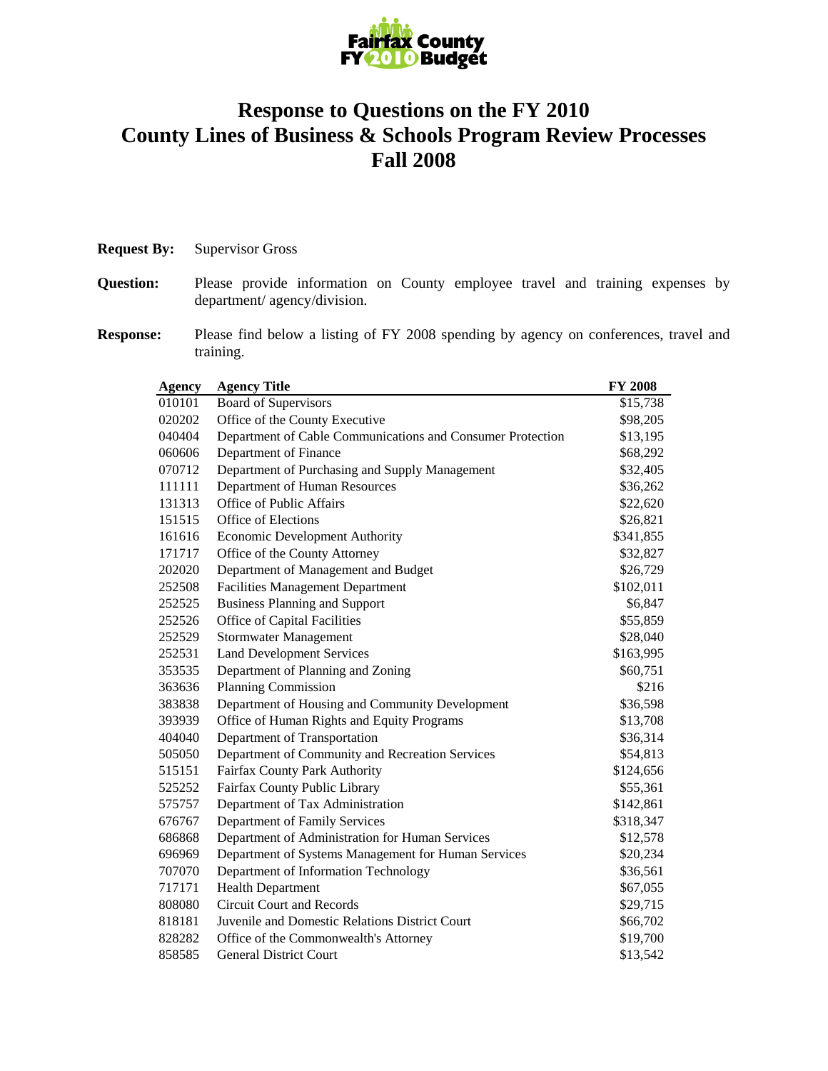

## **Response to Questions on the FY 2010 County Lines of Business & Schools Program Review Processes Fall 2008**

| <b>Request By:</b> | <b>Supervisor Gross</b> |  |
|--------------------|-------------------------|--|
|--------------------|-------------------------|--|

- **Question:** Please provide information on County employee travel and training expenses by department/ agency/division.
- **Response:** Please find below a listing of FY 2008 spending by agency on conferences, travel and training.

| <b>Agency</b> | <b>Agency Title</b>                                        | <b>FY 2008</b> |
|---------------|------------------------------------------------------------|----------------|
| 010101        | <b>Board of Supervisors</b>                                | \$15,738       |
| 020202        | Office of the County Executive                             | \$98,205       |
| 040404        | Department of Cable Communications and Consumer Protection | \$13,195       |
| 060606        | Department of Finance                                      | \$68,292       |
| 070712        | Department of Purchasing and Supply Management             | \$32,405       |
| 111111        | Department of Human Resources                              | \$36,262       |
| 131313        | <b>Office of Public Affairs</b>                            | \$22,620       |
| 151515        | Office of Elections                                        | \$26,821       |
| 161616        | <b>Economic Development Authority</b>                      | \$341,855      |
| 171717        | Office of the County Attorney                              | \$32,827       |
| 202020        | Department of Management and Budget                        | \$26,729       |
| 252508        | <b>Facilities Management Department</b>                    | \$102,011      |
| 252525        | <b>Business Planning and Support</b>                       | \$6,847        |
| 252526        | Office of Capital Facilities                               | \$55,859       |
| 252529        | <b>Stormwater Management</b>                               | \$28,040       |
| 252531        | <b>Land Development Services</b>                           | \$163,995      |
| 353535        | Department of Planning and Zoning                          | \$60,751       |
| 363636        | Planning Commission                                        | \$216          |
| 383838        | Department of Housing and Community Development            | \$36,598       |
| 393939        | Office of Human Rights and Equity Programs                 | \$13,708       |
| 404040        | Department of Transportation                               | \$36,314       |
| 505050        | Department of Community and Recreation Services            | \$54,813       |
| 515151        | Fairfax County Park Authority                              | \$124,656      |
| 525252        | Fairfax County Public Library                              | \$55,361       |
| 575757        | Department of Tax Administration                           | \$142,861      |
| 676767        | Department of Family Services                              | \$318,347      |
| 686868        | Department of Administration for Human Services            | \$12,578       |
| 696969        | Department of Systems Management for Human Services        | \$20,234       |
| 707070        | Department of Information Technology                       | \$36,561       |
| 717171        | <b>Health Department</b>                                   | \$67,055       |
| 808080        | <b>Circuit Court and Records</b>                           | \$29,715       |
| 818181        | Juvenile and Domestic Relations District Court             | \$66,702       |
| 828282        | Office of the Commonwealth's Attorney                      | \$19,700       |
| 858585        | <b>General District Court</b>                              | \$13,542       |